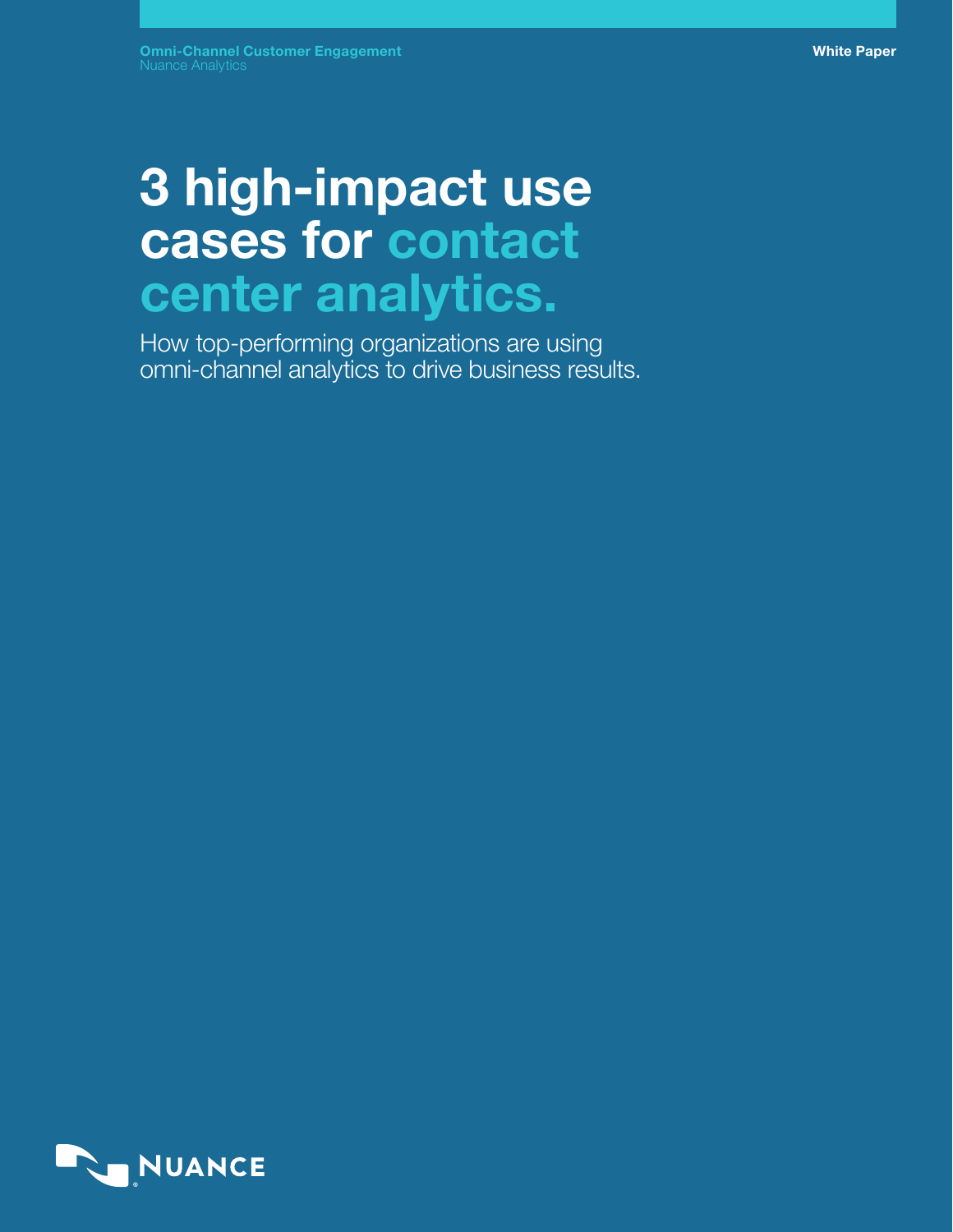# 3 high-impact use cases for contact center analytics.

How top-performing organizations are using omni-channel analytics to drive business results.

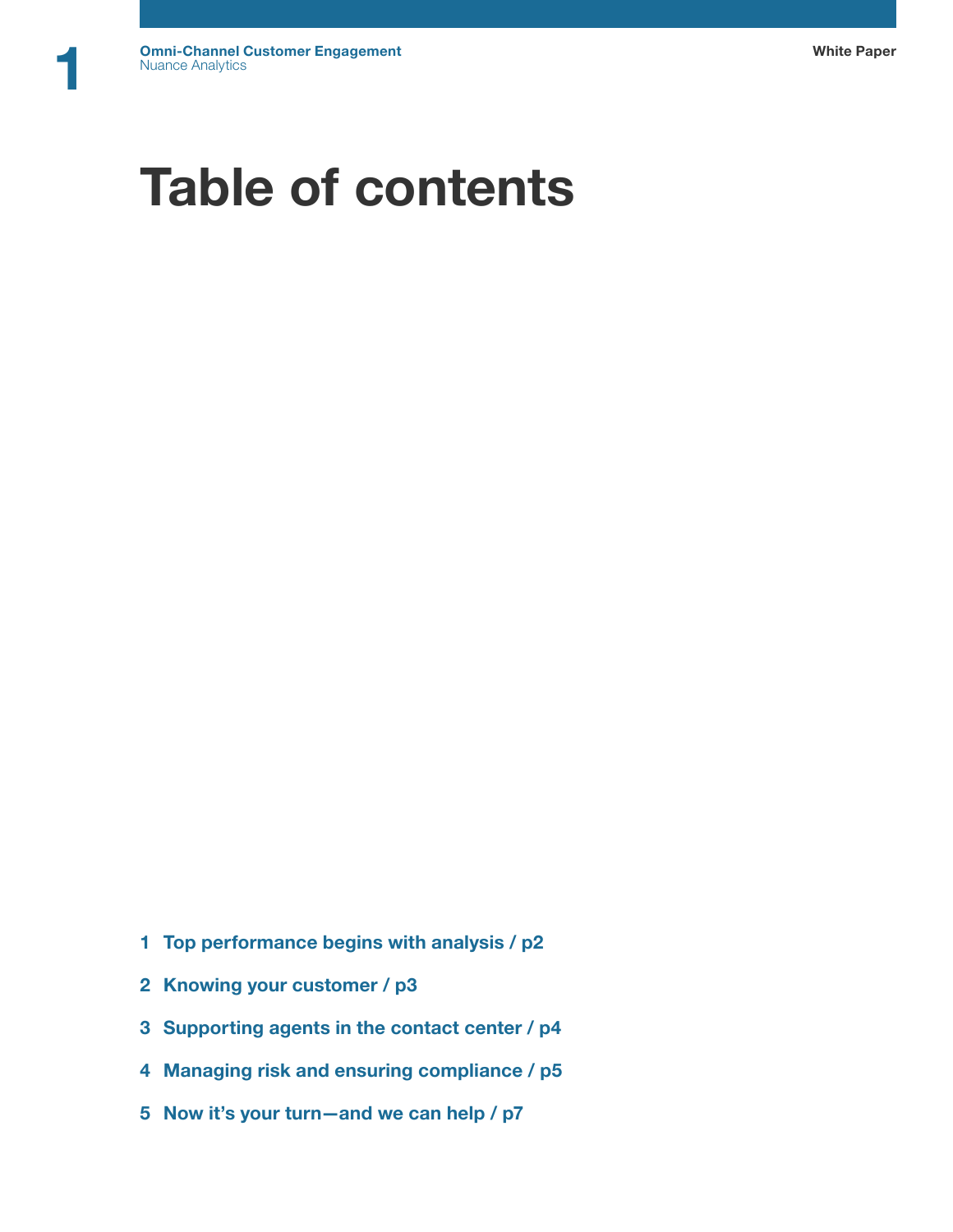# Table of contents

- Top performance begins with analysis / p2
- Knowing your customer / p3
- Supporting agents in the contact center / p4
- Managing risk and ensuring compliance / p5
- Now it's your turn—and we can help / p7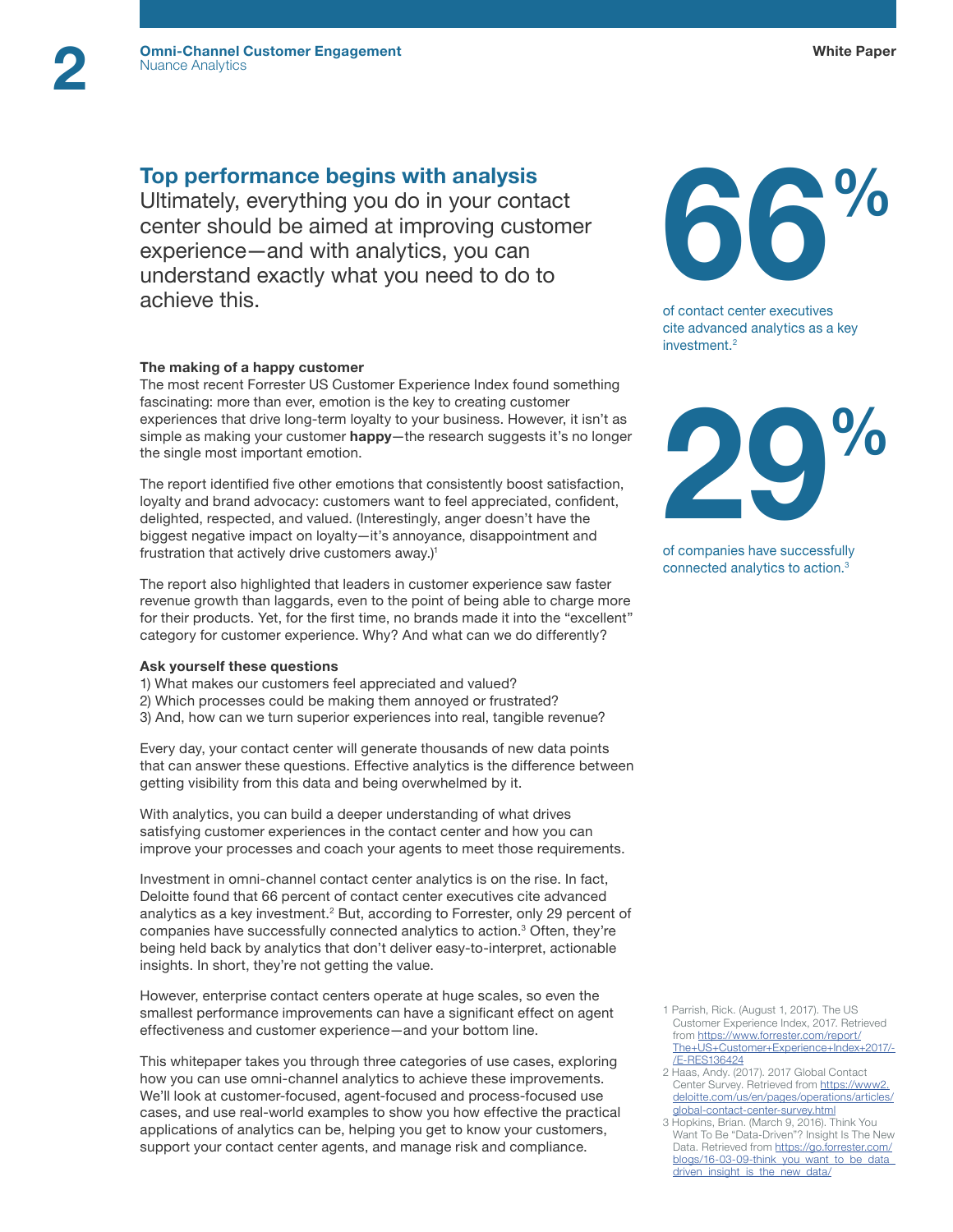### Top performance begins with analysis

Ultimately, everything you do in your contact center should be aimed at improving customer experience—and with analytics, you can understand exactly what you need to do to achieve this.

#### The making of a happy customer

The most recent Forrester US Customer Experience Index found something fascinating: more than ever, emotion is the key to creating customer experiences that drive long-term loyalty to your business. However, it isn't as simple as making your customer happy-the research suggests it's no longer the single most important emotion.

The report identified five other emotions that consistently boost satisfaction, loyalty and brand advocacy: customers want to feel appreciated, confident, delighted, respected, and valued. (Interestingly, anger doesn't have the biggest negative impact on loyalty—it's annoyance, disappointment and frustration that actively drive customers away.) $1$ 

The report also highlighted that leaders in customer experience saw faster revenue growth than laggards, even to the point of being able to charge more for their products. Yet, for the first time, no brands made it into the "excellent" category for customer experience. Why? And what can we do differently?

#### Ask yourself these questions

- 1) What makes our customers feel appreciated and valued?
- 2) Which processes could be making them annoyed or frustrated?
- 3) And, how can we turn superior experiences into real, tangible revenue?

Every day, your contact center will generate thousands of new data points that can answer these questions. Effective analytics is the difference between getting visibility from this data and being overwhelmed by it.

With analytics, you can build a deeper understanding of what drives satisfying customer experiences in the contact center and how you can improve your processes and coach your agents to meet those requirements.

Investment in omni-channel contact center analytics is on the rise. In fact, Deloitte found that 66 percent of contact center executives cite advanced analytics as a key investment.<sup>2</sup> But, according to Forrester, only 29 percent of companies have successfully connected analytics to action.3 Often, they're being held back by analytics that don't deliver easy-to-interpret, actionable insights. In short, they're not getting the value.

However, enterprise contact centers operate at huge scales, so even the smallest performance improvements can have a significant effect on agent effectiveness and customer experience—and your bottom line.

This whitepaper takes you through three categories of use cases, exploring how you can use omni-channel analytics to achieve these improvements. We'll look at customer-focused, agent-focused and process-focused use cases, and use real-world examples to show you how effective the practical applications of analytics can be, helping you get to know your customers, support your contact center agents, and manage risk and compliance.



of contact center executives cite advanced analytics as a key investment.<sup>2</sup>



of companies have successfully connected analytics to action.3

- 1 Parrish, Rick. (August 1, 2017). The US Customer Experience Index, 2017. Retrieved from [https://www.forrester.com/report/](https://www.forrester.com/report/The+US+Customer+Experience+Index+2017/-/E-RES136424) [The+US+Customer+Experience+Index+2017/-](https://www.forrester.com/report/The+US+Customer+Experience+Index+2017/-/E-RES136424) [/E-RES136424](https://www.forrester.com/report/The+US+Customer+Experience+Index+2017/-/E-RES136424)
- 2 Haas, Andy. (2017). 2017 Global Contact Center Survey. Retrieved from [https://www2.](https://www2.deloitte.com/us/en/pages/operations/articles/global-contact-center-survey.html) [deloitte.com/us/en/pages/operations/articles/](https://www2.deloitte.com/us/en/pages/operations/articles/global-contact-center-survey.html) [global-contact-center-survey.html](https://www2.deloitte.com/us/en/pages/operations/articles/global-contact-center-survey.html)
- 3 Hopkins, Brian. (March 9, 2016). Think You Want To Be "Data-Driven"? Insight Is The New Data. Retrieved from [https://go.forrester.com/](https://go.forrester.com/blogs/16-03-09-think_you_want_to_be_data_driven_insight_is_the_new_data/) [blogs/16-03-09-think\\_you\\_want\\_to\\_be\\_data\\_](https://go.forrester.com/blogs/16-03-09-think_you_want_to_be_data_driven_insight_is_the_new_data/) [driven\\_insight\\_is\\_the\\_new\\_data/](https://go.forrester.com/blogs/16-03-09-think_you_want_to_be_data_driven_insight_is_the_new_data/)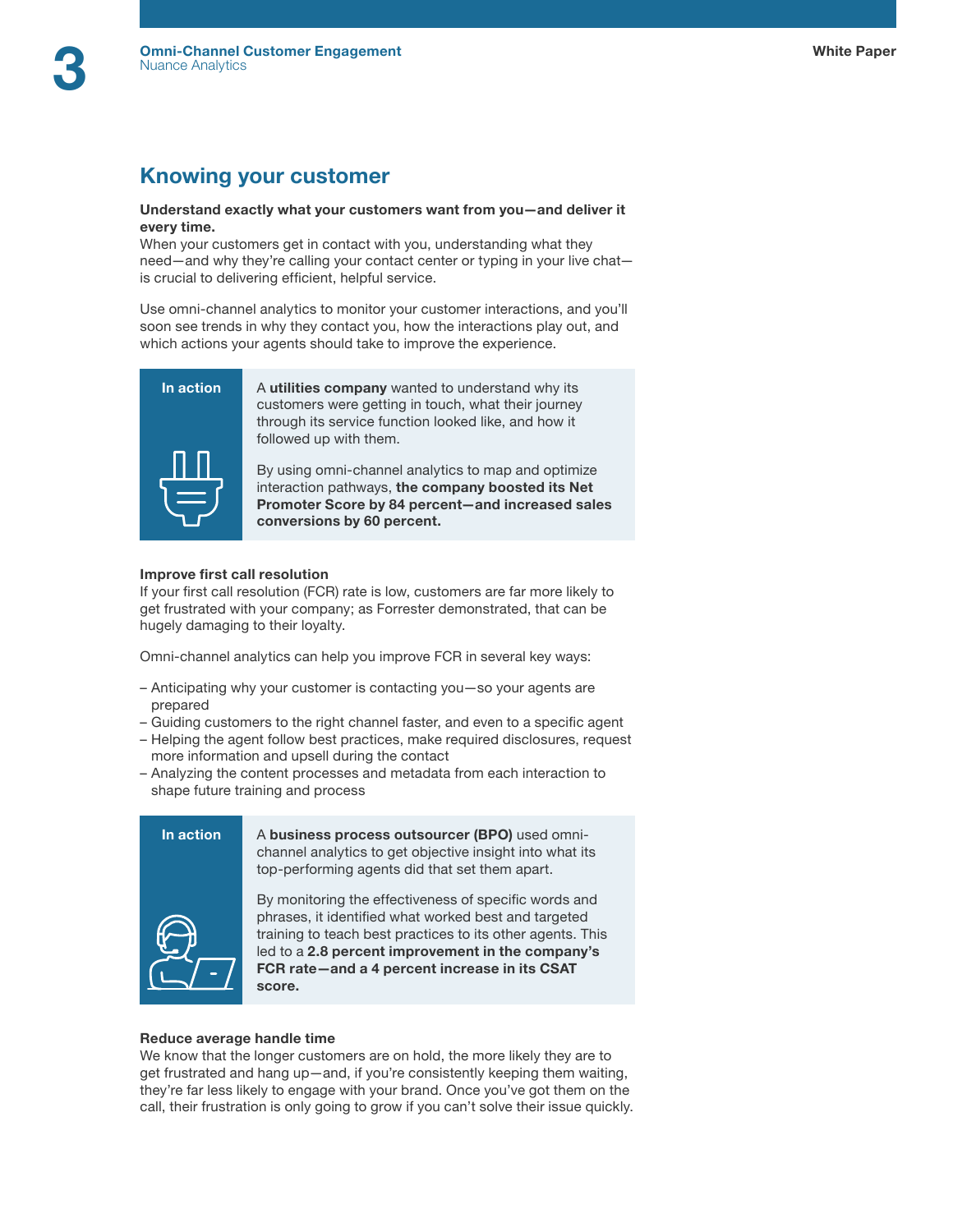## Knowing your customer

#### Understand exactly what your customers want from you—and deliver it every time.

When your customers get in contact with you, understanding what they need—and why they're calling your contact center or typing in your live chat is crucial to delivering efficient, helpful service.

Use omni-channel analytics to monitor your customer interactions, and you'll soon see trends in why they contact you, how the interactions play out, and which actions your agents should take to improve the experience.



In action A utilities company wanted to understand why its customers were getting in touch, what their journey through its service function looked like, and how it followed up with them.

> By using omni-channel analytics to map and optimize interaction pathways, the company boosted its Net Promoter Score by 84 percent—and increased sales conversions by 60 percent.

#### Improve first call resolution

If your first call resolution (FCR) rate is low, customers are far more likely to get frustrated with your company; as Forrester demonstrated, that can be hugely damaging to their loyalty.

Omni-channel analytics can help you improve FCR in several key ways:

- Anticipating why your customer is contacting you—so your agents are prepared
- Guiding customers to the right channel faster, and even to a specific agent
- Helping the agent follow best practices, make required disclosures, request more information and upsell during the contact
- Analyzing the content processes and metadata from each interaction to shape future training and process



In action A business process outsourcer (BPO) used omnichannel analytics to get objective insight into what its top-performing agents did that set them apart.

> By monitoring the effectiveness of specific words and phrases, it identified what worked best and targeted training to teach best practices to its other agents. This led to a 2.8 percent improvement in the company's FCR rate—and a 4 percent increase in its CSAT score.

#### Reduce average handle time

We know that the longer customers are on hold, the more likely they are to get frustrated and hang up—and, if you're consistently keeping them waiting, they're far less likely to engage with your brand. Once you've got them on the call, their frustration is only going to grow if you can't solve their issue quickly.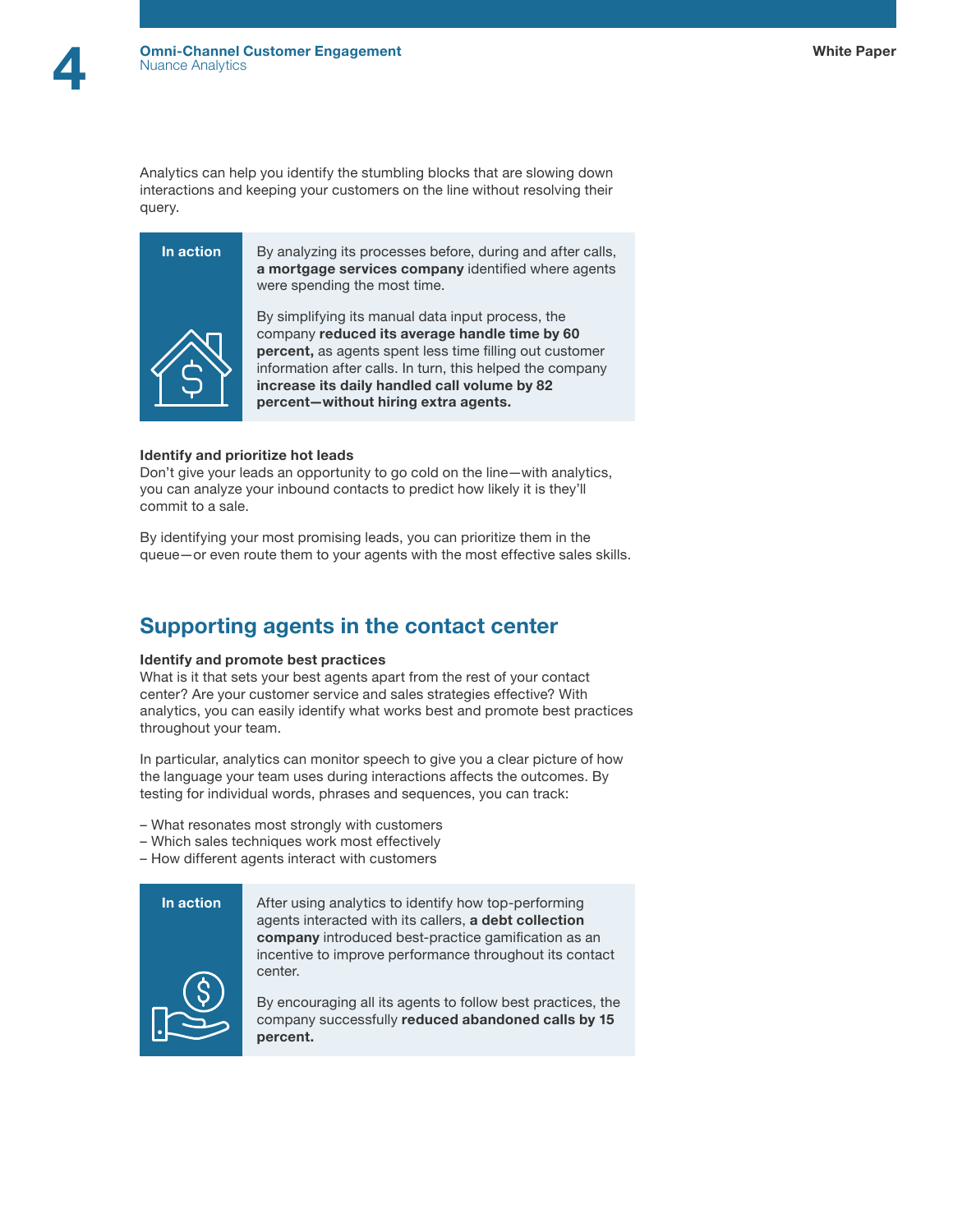Analytics can help you identify the stumbling blocks that are slowing down interactions and keeping your customers on the line without resolving their query.



In action By analyzing its processes before, during and after calls, a mortgage services company identified where agents were spending the most time.

> By simplifying its manual data input process, the company reduced its average handle time by 60 percent, as agents spent less time filling out customer information after calls. In turn, this helped the company increase its daily handled call volume by 82 percent—without hiring extra agents.

#### Identify and prioritize hot leads

Don't give your leads an opportunity to go cold on the line—with analytics, you can analyze your inbound contacts to predict how likely it is they'll commit to a sale.

By identifying your most promising leads, you can prioritize them in the queue—or even route them to your agents with the most effective sales skills.

### Supporting agents in the contact center

#### Identify and promote best practices

What is it that sets your best agents apart from the rest of your contact center? Are your customer service and sales strategies effective? With analytics, you can easily identify what works best and promote best practices throughout your team.

In particular, analytics can monitor speech to give you a clear picture of how the language your team uses during interactions affects the outcomes. By testing for individual words, phrases and sequences, you can track:

- What resonates most strongly with customers
- Which sales techniques work most effectively
- How different agents interact with customers



In action **After using analytics to identify how top-performing** agents interacted with its callers, a debt collection company introduced best-practice gamification as an incentive to improve performance throughout its contact center.

> By encouraging all its agents to follow best practices, the company successfully reduced abandoned calls by 15 percent.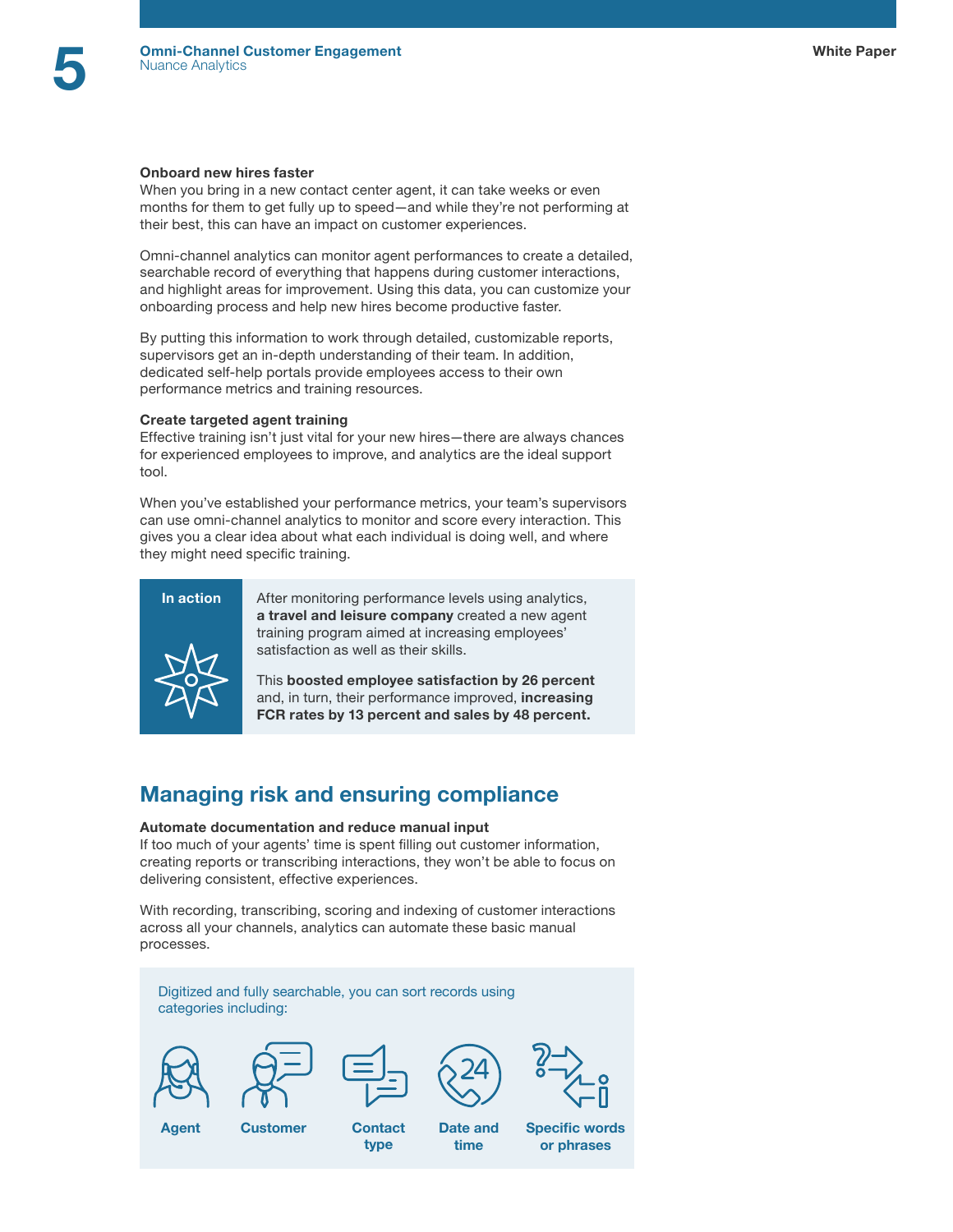#### Onboard new hires faster

When you bring in a new contact center agent, it can take weeks or even months for them to get fully up to speed—and while they're not performing at their best, this can have an impact on customer experiences.

Omni-channel analytics can monitor agent performances to create a detailed, searchable record of everything that happens during customer interactions, and highlight areas for improvement. Using this data, you can customize your onboarding process and help new hires become productive faster.

By putting this information to work through detailed, customizable reports, supervisors get an in-depth understanding of their team. In addition, dedicated self-help portals provide employees access to their own performance metrics and training resources.

#### Create targeted agent training

Effective training isn't just vital for your new hires—there are always chances for experienced employees to improve, and analytics are the ideal support tool.

When you've established your performance metrics, your team's supervisors can use omni-channel analytics to monitor and score every interaction. This gives you a clear idea about what each individual is doing well, and where they might need specific training.



In action After monitoring performance levels using analytics, a travel and leisure company created a new agent training program aimed at increasing employees' satisfaction as well as their skills.

> This boosted employee satisfaction by 26 percent and, in turn, their performance improved, increasing FCR rates by 13 percent and sales by 48 percent.

## Managing risk and ensuring compliance

#### Automate documentation and reduce manual input

If too much of your agents' time is spent filling out customer information, creating reports or transcribing interactions, they won't be able to focus on delivering consistent, effective experiences.

With recording, transcribing, scoring and indexing of customer interactions across all your channels, analytics can automate these basic manual processes.









type



Agent Customer Contact

Date and time

Specific words or phrases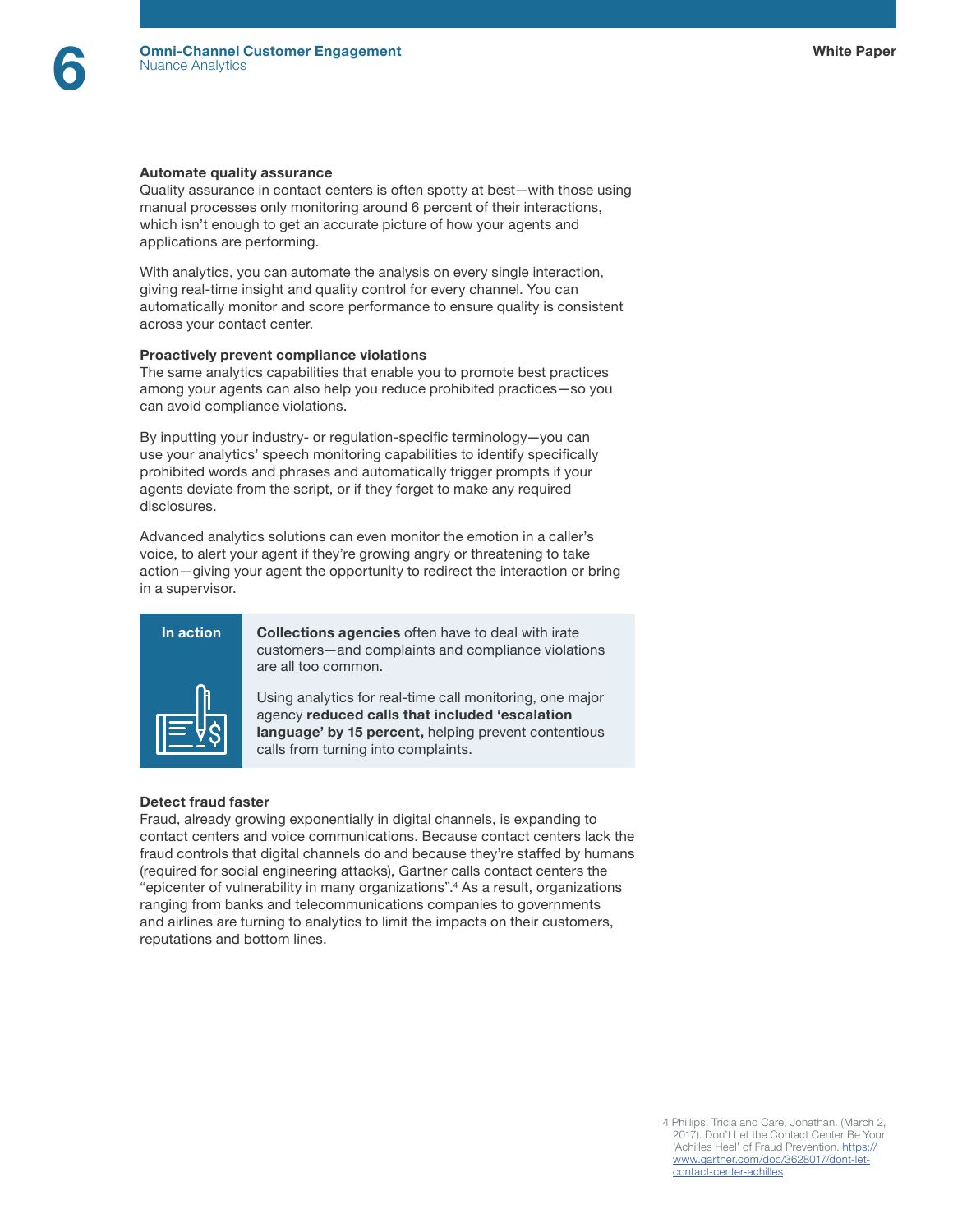#### Automate quality assurance

Quality assurance in contact centers is often spotty at best—with those using manual processes only monitoring around 6 percent of their interactions, which isn't enough to get an accurate picture of how your agents and applications are performing.

With analytics, you can automate the analysis on every single interaction, giving real-time insight and quality control for every channel. You can automatically monitor and score performance to ensure quality is consistent across your contact center.

#### Proactively prevent compliance violations

The same analytics capabilities that enable you to promote best practices among your agents can also help you reduce prohibited practices—so you can avoid compliance violations.

By inputting your industry- or regulation-specific terminology—you can use your analytics' speech monitoring capabilities to identify specifically prohibited words and phrases and automatically trigger prompts if your agents deviate from the script, or if they forget to make any required disclosures.

Advanced analytics solutions can even monitor the emotion in a caller's voice, to alert your agent if they're growing angry or threatening to take action—giving your agent the opportunity to redirect the interaction or bring in a supervisor.



In action Collections agencies often have to deal with irate customers—and complaints and compliance violations are all too common.

> Using analytics for real-time call monitoring, one major agency reduced calls that included 'escalation language' by 15 percent, helping prevent contentious calls from turning into complaints.

#### Detect fraud faster

Fraud, already growing exponentially in digital channels, is expanding to contact centers and voice communications. Because contact centers lack the fraud controls that digital channels do and because they're staffed by humans (required for social engineering attacks), Gartner calls contact centers the "epicenter of vulnerability in many organizations".<sup>4</sup> As a result, organizations ranging from banks and telecommunications companies to governments and airlines are turning to analytics to limit the impacts on their customers, reputations and bottom lines.